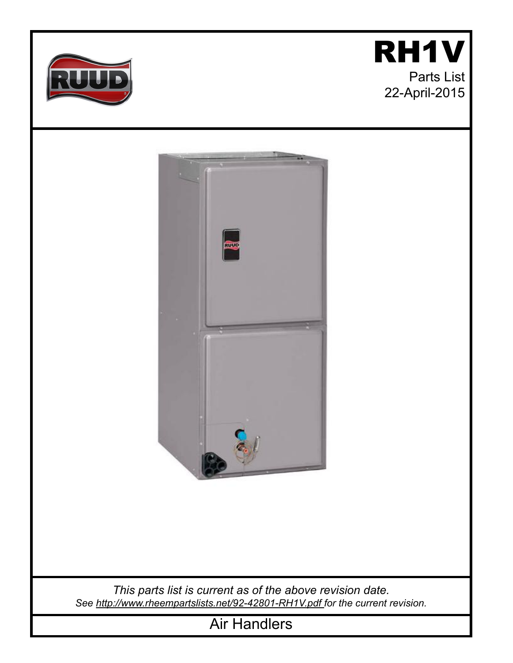





*This parts list is current as of the above revision date. See [http://www.rheempartslists.net/92-42801-RH1V.pdf f](http://www.rheempartslists.net/92-42801-RH1V.pdf)or the current revision.*

Air Handlers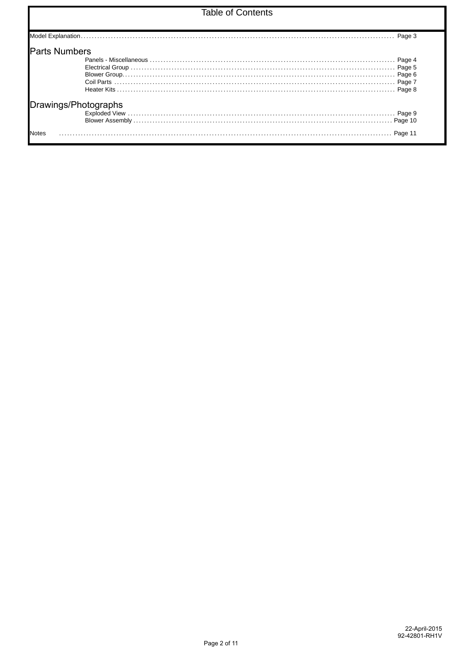## **Table of Contents**

| Drawings/Photographs |  |
|----------------------|--|
|                      |  |
|                      |  |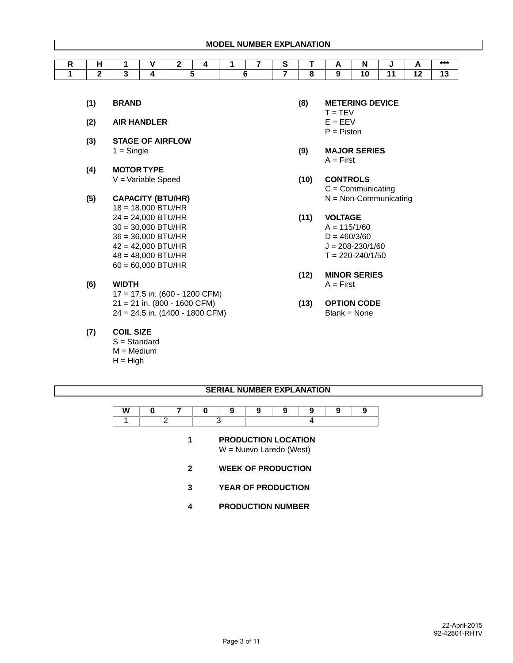| . . |  |     |  | $\overline{\phantom{0}}$ |  | N  |     |    | $***$ |
|-----|--|-----|--|--------------------------|--|----|-----|----|-------|
|     |  |     |  |                          |  |    |     |    |       |
|     |  |     |  |                          |  | ۱0 | . . | ົງ |       |
|     |  | . . |  |                          |  |    |     |    | ⊶     |

- 
- **(2) AIR HANDLER** E = EEV
- **(3) STAGE OF AIRFLOW**
- **(4) MOTOR TYPE** V = Variable Speed **(10) CONTROLS**
- 18 = 18,000 BTU/HR 24 = 24,000 BTU/HR **(11) VOLTAGE**  $30 = 30,000$  BTU/HR  $A = 115/1/60$  $36 = 36,000$  BTU/HR D = 460/3/60  $42 = 42,000$  BTU/HR  $J = 208 - 230/1/60$  $48 = 48,000$  BTU/HR T = 220-240/1/50 60 = 60,000 BTU/HR
- **(6) WIDTH** A = First 17 = 17.5 in. (600 - 1200 CFM) 21 = 21 in. (800 - 1600 CFM) **(13) OPTION CODE** 24 = 24.5 in. (1400 - 1800 CFM) Blank = None
	- **(7) COIL SIZE**
		- S = Standard  $M = Medium$  $H = High$
- **(1) BRAND (8) METERING DEVICE**
- $T = TEV$ 
	-
- $P = P$ iston  $P = P$ iston  $P = P$ iston  $P = P$ iston  $P = P$ iston  $P = P$ iston  $P = P$ iston  $P = P$ iston  $P = P$ iston  $P = P$ iston  $P = P$ iston  $P = P$ iston  $P = P$ iston  $P = P$ iston  $P = P$ iston  $P = P$ iston  $P = P$ iston  $P = P$ iston  $P = P$ iston  $P = P$ iston
- 1 = Single **(9) MAJOR SERIES**  $A = First$ 
	- C = Communicating **(5) CAPACITY (BTU/HR)** N = Non-Communicating
		- -
			-
			-
			-
		- **(12) MINOR SERIES**
		-

## **SERIAL NUMBER EXPLANATION**

## **1 PRODUCTION LOCATION**

W = Nuevo Laredo (West)

- **2 WEEK OF PRODUCTION**
- **3 YEAR OF PRODUCTION**
- **4 PRODUCTION NUMBER**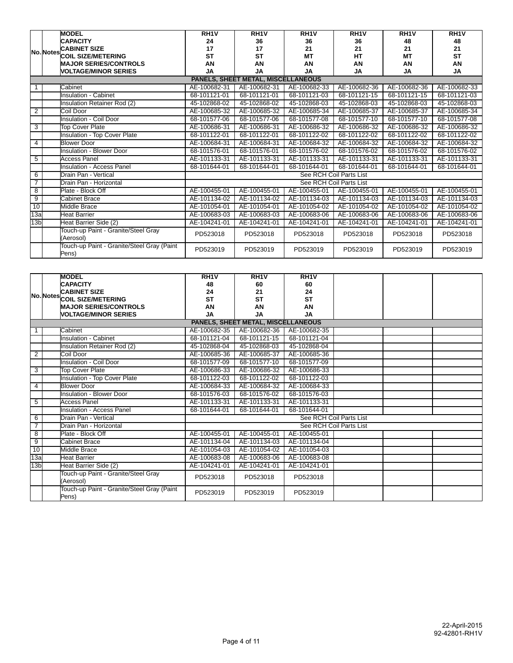|                 | <b>MODEL</b>                                        | RH <sub>1</sub> | RH <sub>1</sub> V                  | RH <sub>1</sub> | RH <sub>1</sub> V       | RH <sub>1</sub> | RH <sub>1</sub> V |
|-----------------|-----------------------------------------------------|-----------------|------------------------------------|-----------------|-------------------------|-----------------|-------------------|
|                 | <b>CAPACITY</b>                                     | 24              | 36                                 | 36              | 36                      | 48              | 48                |
|                 | <b>CABINET SIZE</b>                                 | 17              | 17                                 | 21              | 21                      | 21              | 21                |
|                 | No. Notes COIL SIZE/METERING                        | <b>ST</b>       | <b>ST</b>                          | MT              | HT                      | <b>MT</b>       | <b>ST</b>         |
|                 | <b>MAJOR SERIES/CONTROLS</b>                        | AN              | AN                                 | AN              | AN                      | AN              | AN                |
|                 | <b><i>NOLTAGE/MINOR SERIES</i></b>                  | <b>JA</b>       | <b>JA</b>                          | <b>JA</b>       | <b>JA</b>               | <b>JA</b>       | <b>JA</b>         |
|                 |                                                     |                 | PANELS, SHEET METAL, MISCELLANEOUS |                 |                         |                 |                   |
|                 | Cabinet                                             | AE-100682-31    | AE-100682-31                       | AE-100682-33    | AE-100682-36            | AE-100682-36    | AE-100682-33      |
|                 | <b>Insulation - Cabinet</b>                         | 68-101121-01    | 68-101121-01                       | 68-101121-03    | 68-101121-15            | 68-101121-15    | 68-101121-03      |
|                 | Insulation Retainer Rod (2)                         | 45-102868-02    | 45-102868-02                       | 45-102868-03    | 45-102868-03            | 45-102868-03    | 45-102868-03      |
| $\overline{2}$  | Coil Door                                           | AE-100685-32    | AE-100685-32                       | AE-100685-34    | AE-100685-37            | AE-100685-37    | AE-100685-34      |
|                 | <b>Insulation - Coil Door</b>                       | 68-101577-06    | 68-101577-06                       | 68-101577-08    | 68-101577-10            | 68-101577-10    | 68-101577-08      |
| 3               | <b>Top Cover Plate</b>                              | AE-100686-31    | AE-100686-31                       | AE-100686-32    | AE-100686-32            | AE-100686-32    | AE-100686-32      |
|                 | <b>Insulation - Top Cover Plate</b>                 | 68-101122-01    | 68-101122-01                       | 68-101122-02    | 68-101122-02            | 68-101122-02    | 68-101122-02      |
| 4               | <b>Blower Door</b>                                  | AE-100684-31    | AE-100684-31                       | AE-100684-32    | AE-100684-32            | AE-100684-32    | AE-100684-32      |
|                 | <b>Insulation - Blower Door</b>                     | 68-101576-01    | 68-101576-01                       | 68-101576-02    | 68-101576-02            | 68-101576-02    | 68-101576-02      |
| 5               | <b>Access Panel</b>                                 | AE-101133-31    | AE-101133-31                       | AE-101133-31    | AE-101133-31            | AE-101133-31    | AE-101133-31      |
|                 | <b>Insulation - Access Panel</b>                    | 68-101644-01    | 68-101644-01                       | 68-101644-01    | 68-101644-01            | 68-101644-01    | 68-101644-01      |
| 6               | Drain Pan - Vertical                                |                 |                                    |                 | See RCH Coil Parts List |                 |                   |
| $\overline{7}$  | Drain Pan - Horizontal                              |                 |                                    |                 | See RCH Coil Parts List |                 |                   |
| $\overline{8}$  | Plate - Block Off                                   | AE-100455-01    | AE-100455-01                       | AE-100455-01    | AE-100455-01            | AE-100455-01    | AE-100455-01      |
| 9               | <b>Cabinet Brace</b>                                | AE-101134-02    | AE-101134-02                       | AE-101134-03    | AE-101134-03            | AE-101134-03    | AE-101134-03      |
| 10              | Middle Brace                                        | AE-101054-01    | AE-101054-01                       | AE-101054-02    | AE-101054-02            | AE-101054-02    | AE-101054-02      |
| 13a             | <b>Heat Barrier</b>                                 | AE-100683-03    | AE-100683-03                       | AE-100683-06    | AE-100683-06            | AE-100683-06    | AE-100683-06      |
| 13 <sub>b</sub> | Heat Barrier Side (2)                               | AE-104241-01    | AE-104241-01                       | AE-104241-01    | AE-104241-01            | AE-104241-01    | AE-104241-01      |
|                 | Touch-up Paint - Granite/Steel Gray<br>(Aerosol)    | PD523018        | PD523018                           | PD523018        | PD523018                | PD523018        | PD523018          |
|                 | Touch-up Paint - Granite/Steel Gray (Paint<br>Pens) | PD523019        | PD523019                           | PD523019        | PD523019                | PD523019        | PD523019          |

|                 | <b>MODEL</b>                                        | $R$ H <sub>1</sub> V | $R$ H <sub>1</sub> V               | RH <sub>1</sub> V |                         |  |
|-----------------|-----------------------------------------------------|----------------------|------------------------------------|-------------------|-------------------------|--|
|                 | <b>CAPACITY</b>                                     | 48                   | 60                                 | 60                |                         |  |
|                 | <b>CABINET SIZE</b>                                 | 24                   | 21                                 | 24                |                         |  |
|                 | No. Notes COIL SIZE/METERING                        | <b>ST</b>            | <b>ST</b>                          | <b>ST</b>         |                         |  |
|                 | <b>MAJOR SERIES/CONTROLS</b>                        | AN                   | AN                                 | AN                |                         |  |
|                 | <b>VOLTAGE/MINOR SERIES</b>                         | <b>JA</b>            | <b>JA</b>                          | <b>JA</b>         |                         |  |
|                 |                                                     |                      | PANELS, SHEET METAL, MISCELLANEOUS |                   |                         |  |
|                 | Cabinet                                             | AE-100682-35         | AE-100682-36                       | AE-100682-35      |                         |  |
|                 | <b>Insulation - Cabinet</b>                         | 68-101121-04         | 68-101121-15                       | 68-101121-04      |                         |  |
|                 | Insulation Retainer Rod (2)                         | 45-102868-04         | 45-102868-03                       | 45-102868-04      |                         |  |
| $\overline{2}$  | Coil Door                                           | AE-100685-36         | AE-100685-37                       | AE-100685-36      |                         |  |
|                 | Insulation - Coil Door                              | 68-101577-09         | 68-101577-10                       | 68-101577-09      |                         |  |
| 3               | <b>Top Cover Plate</b>                              | AE-100686-33         | AE-100686-32                       | AE-100686-33      |                         |  |
|                 | Insulation - Top Cover Plate                        | 68-101122-03         | 68-101122-02                       | 68-101122-03      |                         |  |
| $\overline{4}$  | <b>Blower Door</b>                                  | AE-100684-33         | AE-100684-32                       | AE-100684-33      |                         |  |
|                 | Insulation - Blower Door                            | 68-101576-03         | 68-101576-02                       | 68-101576-03      |                         |  |
| 5               | <b>Access Panel</b>                                 | AE-101133-31         | AE-101133-31                       | AE-101133-31      |                         |  |
|                 | <b>Insulation - Access Panel</b>                    | 68-101644-01         | 68-101644-01                       | 68-101644-01      |                         |  |
| 6               | Drain Pan - Vertical                                |                      |                                    |                   | See RCH Coil Parts List |  |
| $\overline{7}$  | Drain Pan - Horizontal                              |                      |                                    |                   | See RCH Coil Parts List |  |
| $\overline{8}$  | Plate - Block Off                                   | AE-100455-01         | AE-100455-01                       | AE-100455-01      |                         |  |
| $\overline{9}$  | <b>Cabinet Brace</b>                                | AE-101134-04         | AE-101134-03                       | AE-101134-04      |                         |  |
| 10              | <b>Middle Brace</b>                                 | AE-101054-03         | AE-101054-02                       | AE-101054-03      |                         |  |
| 13a             | <b>Heat Barrier</b>                                 | AE-100683-08         | AE-100683-06                       | AE-100683-08      |                         |  |
| 13 <sub>b</sub> | Heat Barrier Side (2)                               | AE-104241-01         | AE-104241-01                       | AE-104241-01      |                         |  |
|                 | Touch-up Paint - Granite/Steel Gray<br>(Aerosol)    | PD523018             | PD523018                           | PD523018          |                         |  |
|                 | Touch-up Paint - Granite/Steel Gray (Paint<br>Pens) | PD523019             | PD523019                           | PD523019          |                         |  |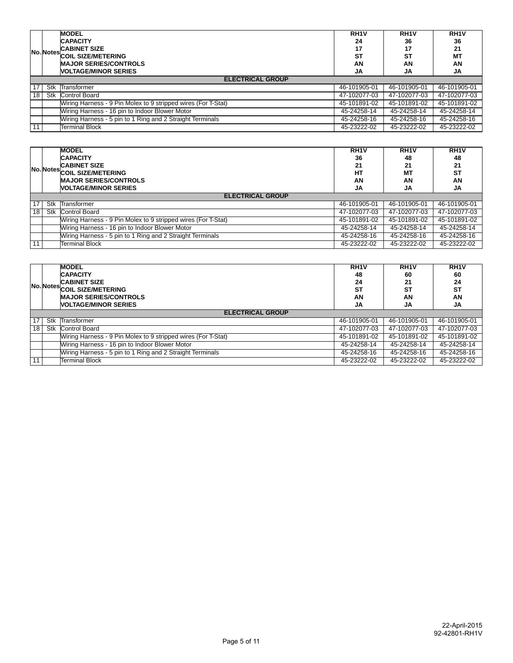|    |                         | <b>MODEL</b>                                                  | RH <sub>1</sub> V | RH <sub>1</sub> V | RH <sub>1</sub> |  |  |  |
|----|-------------------------|---------------------------------------------------------------|-------------------|-------------------|-----------------|--|--|--|
|    |                         | <b>CAPACITY</b>                                               | 24                | 36                | 36              |  |  |  |
|    | No. Notes.              | <b>CABINET SIZE</b>                                           | 17                | 17                | 21              |  |  |  |
|    |                         | <b>COIL SIZE/METERING</b>                                     | <b>ST</b>         | <b>ST</b>         | <b>MT</b>       |  |  |  |
|    |                         | <b>MAJOR SERIES/CONTROLS</b>                                  | AN                | AN                | AN              |  |  |  |
|    |                         | <b>NOLTAGE/MINOR SERIES</b>                                   | JA                | JA                | JA              |  |  |  |
|    | <b>ELECTRICAL GROUP</b> |                                                               |                   |                   |                 |  |  |  |
| 17 | Stk                     | Transformer                                                   | 46-101905-01      | 46-101905-01      | 46-101905-01    |  |  |  |
| 18 | Stk                     | Control Board                                                 | 47-102077-03      | 47-102077-03      | 47-102077-03    |  |  |  |
|    |                         | Wiring Harness - 9 Pin Molex to 9 stripped wires (For T-Stat) | 45-101891-02      | 45-101891-02      | 45-101891-02    |  |  |  |
|    |                         | Wiring Harness - 16 pin to Indoor Blower Motor                | 45-24258-14       | 45-24258-14       | 45-24258-14     |  |  |  |
|    |                         | Wiring Harness - 5 pin to 1 Ring and 2 Straight Terminals     | 45-24258-16       | 45-24258-16       | 45-24258-16     |  |  |  |
| 11 |                         | <b>Terminal Block</b>                                         | 45-23222-02       | 45-23222-02       | 45-23222-02     |  |  |  |

|     |                         | <b>MODEL</b>                                                  | RH <sub>1</sub> V | RH <sub>1</sub> V | RH <sub>1</sub> V |  |  |  |  |  |
|-----|-------------------------|---------------------------------------------------------------|-------------------|-------------------|-------------------|--|--|--|--|--|
|     |                         | <b>CAPACITY</b>                                               | 36                | 48                | 48                |  |  |  |  |  |
|     |                         | <b>CABINET SIZE</b>                                           | 21                | 21                | 21                |  |  |  |  |  |
|     |                         | No. Notes COIL SIZE/METERING                                  | HТ                | МT                | <b>ST</b>         |  |  |  |  |  |
|     |                         | <b>MAJOR SERIES/CONTROLS</b>                                  |                   | AN                | AN                |  |  |  |  |  |
|     |                         | <b>NOLTAGE/MINOR SERIES</b>                                   | <b>JA</b>         | JA                | JA                |  |  |  |  |  |
|     | <b>ELECTRICAL GROUP</b> |                                                               |                   |                   |                   |  |  |  |  |  |
| 17  | Stk                     | Transformer                                                   | 46-101905-01      | 46-101905-01      | 46-101905-01      |  |  |  |  |  |
| 18  | Stk                     | <b>Control Board</b>                                          | 47-102077-03      | 47-102077-03      | 47-102077-03      |  |  |  |  |  |
|     |                         | Wiring Harness - 9 Pin Molex to 9 stripped wires (For T-Stat) | 45-101891-02      | 45-101891-02      | 45-101891-02      |  |  |  |  |  |
|     |                         | Wiring Harness - 16 pin to Indoor Blower Motor                | 45-24258-14       | 45-24258-14       | 45-24258-14       |  |  |  |  |  |
|     |                         | Wiring Harness - 5 pin to 1 Ring and 2 Straight Terminals     | 45-24258-16       | 45-24258-16       | 45-24258-16       |  |  |  |  |  |
| 111 |                         | <b>Terminal Block</b>                                         | 45-23222-02       | 45-23222-02       | 45-23222-02       |  |  |  |  |  |

|    |                         | <b>MODEL</b><br><b>CAPACITY</b><br><b>CABINET SIZE</b><br>No. Notes COIL SIZE/METERING<br><b>MAJOR SERIES/CONTROLS</b><br><b>NOLTAGE/MINOR SERIES</b> | RH <sub>1</sub> V<br>48<br>24<br><b>ST</b><br>AN<br><b>JA</b> | RH <sub>1</sub> V<br>60<br>21<br><b>ST</b><br>AN<br>JA | RH <sub>1</sub> V<br>60<br>24<br><b>ST</b><br>AN<br>JA |  |  |  |  |  |
|----|-------------------------|-------------------------------------------------------------------------------------------------------------------------------------------------------|---------------------------------------------------------------|--------------------------------------------------------|--------------------------------------------------------|--|--|--|--|--|
|    | <b>ELECTRICAL GROUP</b> |                                                                                                                                                       |                                                               |                                                        |                                                        |  |  |  |  |  |
| 17 | Stk                     | Transformer                                                                                                                                           | 46-101905-01                                                  | 46-101905-01                                           | 46-101905-01                                           |  |  |  |  |  |
| 18 | Stk                     | <b>Control Board</b>                                                                                                                                  | 47-102077-03                                                  | 47-102077-03                                           | 47-102077-03                                           |  |  |  |  |  |
|    |                         | Wiring Harness - 9 Pin Molex to 9 stripped wires (For T-Stat)                                                                                         | 45-101891-02                                                  | 45-101891-02                                           | 45-101891-02                                           |  |  |  |  |  |
|    |                         | Wiring Harness - 16 pin to Indoor Blower Motor                                                                                                        | 45-24258-14                                                   | 45-24258-14                                            | 45-24258-14                                            |  |  |  |  |  |
|    |                         | Wiring Harness - 5 pin to 1 Ring and 2 Straight Terminals                                                                                             | 45-24258-16                                                   | 45-24258-16                                            | 45-24258-16                                            |  |  |  |  |  |
| 11 |                         | <b>Terminal Block</b>                                                                                                                                 | 45-23222-02                                                   | 45-23222-02                                            | 45-23222-02                                            |  |  |  |  |  |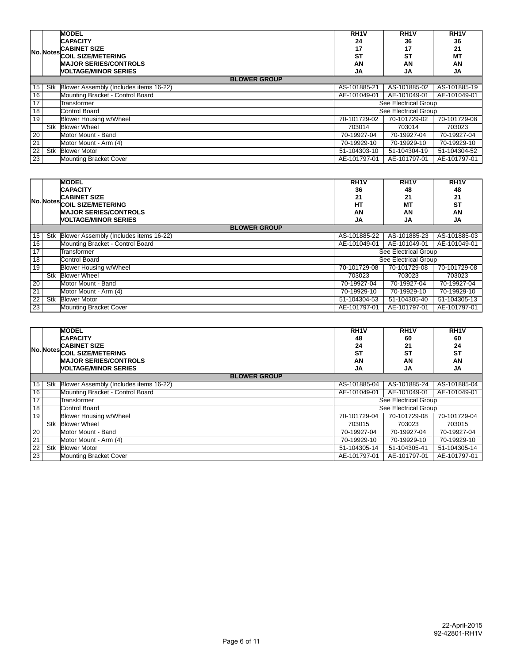|                 |     | <b>MODEL</b>                           | RH <sub>1</sub>      | RH <sub>1</sub> V    | RH <sub>1</sub> |
|-----------------|-----|----------------------------------------|----------------------|----------------------|-----------------|
|                 |     | <b>CAPACITY</b>                        | 24                   | 36                   | 36              |
|                 |     | <b>CABINET SIZE</b>                    | 17                   | 17                   | 21              |
|                 |     | No. Notes COIL SIZE/METERING           | <b>ST</b>            | <b>ST</b>            | <b>MT</b>       |
|                 |     | <b>MAJOR SERIES/CONTROLS</b>           | AN                   | AN                   | AN              |
|                 |     | <b><i>NOLTAGE/MINOR SERIES</i></b>     | JA                   | JA                   | JA              |
|                 |     | <b>BLOWER GROUP</b>                    |                      |                      |                 |
| 15              | Stk | Blower Assembly (Includes items 16-22) | AS-101885-21         | AS-101885-02         | AS-101885-19    |
| 16              |     | Mounting Bracket - Control Board       | AE-101049-01         | AE-101049-01         | AE-101049-01    |
| $\overline{17}$ |     | Transformer                            | See Electrical Group |                      |                 |
| 18              |     | <b>Control Board</b>                   |                      | See Electrical Group |                 |
| $\overline{19}$ |     | <b>Blower Housing w/Wheel</b>          | 70-101729-02         | 70-101729-02         | 70-101729-08    |
|                 | Stk | <b>Blower Wheel</b>                    | 703014               | 703014               | 703023          |
| 20              |     | Motor Mount - Band                     | 70-19927-04          | 70-19927-04          | 70-19927-04     |
| 21              |     | Motor Mount - Arm (4)                  | 70-19929-10          | 70-19929-10          | 70-19929-10     |
| $\overline{22}$ | Stk | <b>Blower Motor</b>                    | 51-104303-10         | 51-104304-19         | 51-104304-52    |
| $\overline{23}$ |     | <b>Mounting Bracket Cover</b>          | AE-101797-01         | AE-101797-01         | AE-101797-01    |

|                 |     | <b>MODEL</b>                           | RH <sub>1</sub> V | RH <sub>1</sub> V    | RH <sub>1</sub> V |
|-----------------|-----|----------------------------------------|-------------------|----------------------|-------------------|
|                 |     | <b>CAPACITY</b>                        | 36                | 48                   | 48                |
|                 |     | <b>CABINET SIZE</b>                    | 21                | 21                   | 21                |
|                 |     | No. Notes COIL SIZE/METERING           | HT                | <b>MT</b>            | <b>ST</b>         |
|                 |     | <b>MAJOR SERIES/CONTROLS</b>           | AN                | AN                   | AN                |
|                 |     | <b><i>NOLTAGE/MINOR SERIES</i></b>     | <b>JA</b>         | JA                   | JA                |
|                 |     | <b>BLOWER GROUP</b>                    |                   |                      |                   |
| 15              | Stk | Blower Assembly (Includes items 16-22) | AS-101885-22      | AS-101885-23         | AS-101885-03      |
| 16              |     | Mounting Bracket - Control Board       | AE-101049-01      | AE-101049-01         | AE-101049-01      |
| $1\overline{7}$ |     | Transformer                            |                   | See Electrical Group |                   |
| $\overline{18}$ |     | <b>Control Board</b>                   |                   | See Electrical Group |                   |
| $\overline{19}$ |     | Blower Housing w/Wheel                 | 70-101729-08      | 70-101729-08         | 70-101729-08      |
|                 | Stk | <b>Blower Wheel</b>                    | 703023            | 703023               | 703023            |
| $\overline{20}$ |     | Motor Mount - Band                     | 70-19927-04       | 70-19927-04          | 70-19927-04       |
| 21              |     | Motor Mount - Arm (4)                  | 70-19929-10       | 70-19929-10          | 70-19929-10       |
| $\overline{22}$ | Stk | <b>Blower Motor</b>                    | 51-104304-53      | 51-104305-40         | 51-104305-13      |
| $\overline{23}$ |     | <b>Mounting Bracket Cover</b>          | AE-101797-01      | AE-101797-01         | AE-101797-01      |

|                 |                     | <b>MODEL</b>                           | RH <sub>1</sub> V | RH <sub>1</sub> V    | RH <sub>1</sub> V |  |  |  |  |
|-----------------|---------------------|----------------------------------------|-------------------|----------------------|-------------------|--|--|--|--|
|                 |                     | <b>CAPACITY</b>                        | 48                | 60                   | 60                |  |  |  |  |
|                 | No. Notes           | <b>CABINET SIZE</b>                    | 24                | 21                   | 24                |  |  |  |  |
|                 |                     | <b>COIL SIZE/METERING</b>              | <b>ST</b>         | <b>ST</b>            | <b>ST</b>         |  |  |  |  |
|                 |                     | <b>MAJOR SERIES/CONTROLS</b>           | AN                | AN                   | AN                |  |  |  |  |
|                 |                     | <b><i>NOLTAGE/MINOR SERIES</i></b>     | JA                | JA                   | JA                |  |  |  |  |
|                 | <b>BLOWER GROUP</b> |                                        |                   |                      |                   |  |  |  |  |
| 15              | Stk                 | Blower Assembly (Includes items 16-22) | AS-101885-04      | AS-101885-24         | AS-101885-04      |  |  |  |  |
| 16              |                     | Mounting Bracket - Control Board       | AE-101049-01      | AE-101049-01         | AE-101049-01      |  |  |  |  |
| $\overline{17}$ |                     | Transformer                            |                   | See Electrical Group |                   |  |  |  |  |
| 18              |                     | <b>Control Board</b>                   |                   | See Electrical Group |                   |  |  |  |  |
| 19              |                     | Blower Housing w/Wheel                 | 70-101729-04      | 70-101729-08         | 70-101729-04      |  |  |  |  |
|                 | Stk                 | <b>Blower Wheel</b>                    | 703015            | 703023               | 703015            |  |  |  |  |
| $\overline{20}$ |                     | Motor Mount - Band                     | 70-19927-04       | 70-19927-04          | 70-19927-04       |  |  |  |  |
| 21              |                     | Motor Mount - Arm (4)                  | 70-19929-10       | 70-19929-10          | 70-19929-10       |  |  |  |  |
| $\overline{22}$ | Stk                 | <b>Blower Motor</b>                    | 51-104305-14      | 51-104305-41         | 51-104305-14      |  |  |  |  |
| 23              |                     | <b>Mounting Bracket Cover</b>          | AE-101797-01      | AE-101797-01         | AE-101797-01      |  |  |  |  |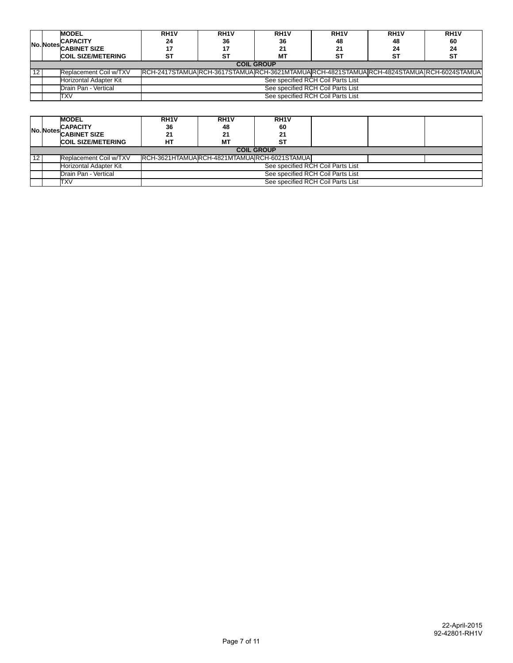|     |                   | <b>MODEL</b>                  | RH <sub>1</sub> V                                                                         | RH <sub>1</sub> V                 | RH <sub>1</sub> V | RH <sub>1</sub> V                 | RH <sub>1</sub> V | RH <sub>1</sub> V |  |  |
|-----|-------------------|-------------------------------|-------------------------------------------------------------------------------------------|-----------------------------------|-------------------|-----------------------------------|-------------------|-------------------|--|--|
|     |                   | <b>CAPACITY</b>               | 24                                                                                        | 36                                | 36                | 48                                | 48                | 60                |  |  |
|     |                   | <b>No. Notes</b> CABINET SIZE |                                                                                           | 17                                | 21                | - 14                              | 24                | 24                |  |  |
|     |                   | <b>COIL SIZE/METERING</b>     | ST                                                                                        | ST                                | МT                | ST                                | ST                | <b>ST</b>         |  |  |
|     | <b>COIL GROUP</b> |                               |                                                                                           |                                   |                   |                                   |                   |                   |  |  |
| -12 |                   | Replacement Coil w/TXV        | RCH-2417STAMUA RCH-3617STAMUA RCH-3621MTAMUA RCH-4821STAMUA RCH-4824STAMUA RCH-6024STAMUA |                                   |                   |                                   |                   |                   |  |  |
|     |                   | Horizontal Adapter Kit        |                                                                                           |                                   |                   | See specified RCH Coil Parts List |                   |                   |  |  |
|     |                   | Drain Pan - Vertical          |                                                                                           | See specified RCH Coil Parts List |                   |                                   |                   |                   |  |  |
|     |                   | TXV                           |                                                                                           | See specified RCH Coil Parts List |                   |                                   |                   |                   |  |  |

|    |                   | <b>MODEL</b>              | RH <sub>1</sub> V                           | RH <sub>1</sub> V | RH <sub>1</sub> V |  |  |  |  |
|----|-------------------|---------------------------|---------------------------------------------|-------------------|-------------------|--|--|--|--|
|    |                   | <b>CAPACITY</b>           | 36                                          | 48                | 60                |  |  |  |  |
|    |                   | No. Notes CABINET SIZE    | 21                                          | 21                | 21                |  |  |  |  |
|    |                   | <b>COIL SIZE/METERING</b> | HТ                                          | <b>MT</b>         | SТ                |  |  |  |  |
|    | <b>COIL GROUP</b> |                           |                                             |                   |                   |  |  |  |  |
| 12 |                   | Replacement Coil w/TXV    | RCH-3621HTAMUARCH-4821MTAMUARCH-6021STAMUAL |                   |                   |  |  |  |  |
|    |                   | Horizontal Adapter Kit    | See specified RCH Coil Parts List           |                   |                   |  |  |  |  |
|    |                   | Drain Pan - Vertical      | See specified RCH Coil Parts List           |                   |                   |  |  |  |  |
|    |                   | TXV                       | See specified RCH Coil Parts List           |                   |                   |  |  |  |  |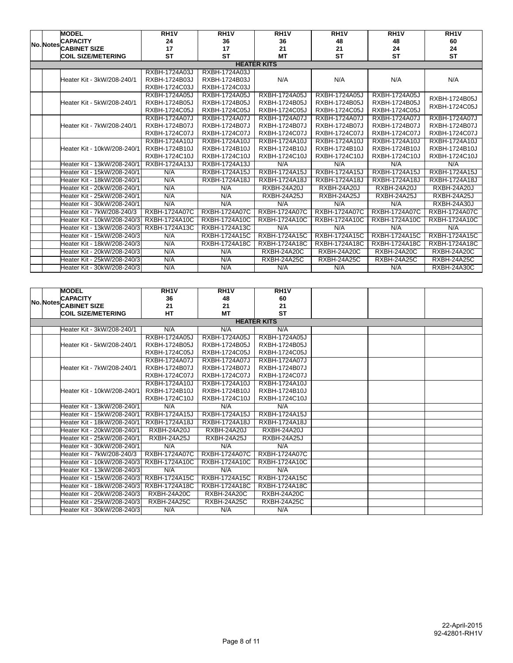|                    |                  | <b>MODEL</b>                | RH <sub>1</sub> V | RH <sub>1</sub> V    | RH <sub>1</sub> V    | RH <sub>1</sub> V  | RH <sub>1</sub> V    | RH <sub>1</sub>    |
|--------------------|------------------|-----------------------------|-------------------|----------------------|----------------------|--------------------|----------------------|--------------------|
|                    | <b>No. Notes</b> | <b>CAPACITY</b>             | 24                | 36                   | 36                   | 48                 | 48                   | 60                 |
|                    |                  | <b>CABINET SIZE</b>         | 17                | 17                   | 21                   | 21                 | 24                   | 24                 |
|                    |                  | <b>COIL SIZE/METERING</b>   | <b>ST</b>         | <b>ST</b>            | <b>MT</b>            | <b>ST</b>          | <b>ST</b>            | <b>ST</b>          |
| <b>HEATER KITS</b> |                  |                             |                   |                      |                      |                    |                      |                    |
|                    |                  |                             | RXBH-1724A03J     | RXBH-1724A03J        |                      |                    |                      |                    |
|                    |                  | Heater Kit - 3kW/208-240/1  | RXBH-1724B03J     | RXBH-1724B03J        | N/A                  | N/A                | N/A                  | N/A                |
|                    |                  |                             | RXBH-1724C03J     | RXBH-1724C03J        |                      |                    |                      |                    |
|                    |                  |                             | RXBH-1724A05J     | RXBH-1724A05J        | RXBH-1724A05J        | RXBH-1724A05J      | RXBH-1724A05J        | RXBH-1724B05J      |
|                    |                  | Heater Kit - 5kW/208-240/1  | RXBH-1724B05J     | RXBH-1724B05J        | RXBH-1724B05J        | RXBH-1724B05J      | RXBH-1724B05J        | RXBH-1724C05J      |
|                    |                  |                             | RXBH-1724C05J     | RXBH-1724C05J        | RXBH-1724C05J        | RXBH-1724C05J      | RXBH-1724C05J        |                    |
|                    |                  |                             | RXBH-1724A07J     | <b>RXBH-1724A07J</b> | RXBH-1724A07J        | RXBH-1724A07J      | RXBH-1724A07J        | RXBH-1724A07J      |
|                    |                  | Heater Kit - 7kW/208-240/1  | RXBH-1724B07J     | RXBH-1724B07J        | RXBH-1724B07J        | RXBH-1724B07J      | RXBH-1724B07J        | RXBH-1724B07J      |
|                    |                  |                             | RXBH-1724C07J     | RXBH-1724C07J        | RXBH-1724C07J        | RXBH-1724C07J      | RXBH-1724C07J        | RXBH-1724C07J      |
|                    |                  |                             | RXBH-1724A10J     | RXBH-1724A10J        | RXBH-1724A10J        | RXBH-1724A10J      | RXBH-1724A10J        | RXBH-1724A10J      |
|                    |                  | Heater Kit - 10kW/208-240/1 | RXBH-1724B10J     | RXBH-1724B10J        | RXBH-1724B10J        | RXBH-1724B10J      | RXBH-1724B10J        | RXBH-1724B10J      |
|                    |                  |                             | RXBH-1724C10J     | RXBH-1724C10J        | RXBH-1724C10J        | RXBH-1724C10J      | RXBH-1724C10J        | RXBH-1724C10J      |
|                    |                  | Heater Kit - 13kW/208-240/1 | RXBH-1724A13J     | RXBH-1724A13J        | N/A                  | N/A                | N/A                  | N/A                |
|                    |                  | Heater Kit - 15kW/208-240/1 | N/A               | RXBH-1724A15J        | RXBH-1724A15J        | RXBH-1724A15J      | RXBH-1724A15J        | RXBH-1724A15J      |
|                    |                  | Heater Kit - 18kW/208-240/1 | N/A               | <b>RXBH-1724A18J</b> | <b>RXBH-1724A18J</b> | RXBH-1724A18J      | <b>RXBH-1724A18J</b> | RXBH-1724A18J      |
|                    |                  | Heater Kit - 20kW/208-240/1 | N/A               | N/A                  | <b>RXBH-24A20J</b>   | <b>RXBH-24A20J</b> | <b>RXBH-24A20J</b>   | <b>RXBH-24A20J</b> |
|                    |                  | Heater Kit - 25kW/208-240/1 | N/A               | N/A                  | <b>RXBH-24A25J</b>   | <b>RXBH-24A25J</b> | <b>RXBH-24A25J</b>   | <b>RXBH-24A25J</b> |
|                    |                  | Heater Kit - 30kW/208-240/1 | N/A               | N/A                  | N/A                  | N/A                | N/A                  | <b>RXBH-24A30J</b> |
|                    |                  | Heater Kit - 7kW/208-240/3  | RXBH-1724A07C     | RXBH-1724A07C        | RXBH-1724A07C        | RXBH-1724A07C      | <b>RXBH-1724A07C</b> | RXBH-1724A07C      |
|                    |                  | Heater Kit - 10kW/208-240/3 | RXBH-1724A10C     | RXBH-1724A10C        | RXBH-1724A10C        | RXBH-1724A10C      | RXBH-1724A10C        | RXBH-1724A10C      |
|                    |                  | Heater Kit - 13kW/208-240/3 | RXBH-1724A13C     | RXBH-1724A13C        | N/A                  | N/A                | N/A                  | N/A                |
|                    |                  | Heater Kit - 15kW/208-240/3 | N/A               | RXBH-1724A15C        | RXBH-1724A15C        | RXBH-1724A15C      | RXBH-1724A15C        | RXBH-1724A15C      |
|                    |                  | Heater Kit - 18kW/208-240/3 | N/A               | RXBH-1724A18C        | RXBH-1724A18C        | RXBH-1724A18C      | RXBH-1724A18C        | RXBH-1724A18C      |
|                    |                  | Heater Kit - 20kW/208-240/3 | N/A               | N/A                  | <b>RXBH-24A20C</b>   | <b>RXBH-24A20C</b> | <b>RXBH-24A20C</b>   | <b>RXBH-24A20C</b> |
|                    |                  | Heater Kit - 25kW/208-240/3 | N/A               | N/A                  | RXBH-24A25C          | RXBH-24A25C        | <b>RXBH-24A25C</b>   | RXBH-24A25C        |
|                    |                  | Heater Kit - 30kW/208-240/3 | N/A               | N/A                  | N/A                  | N/A                | N/A                  | <b>RXBH-24A30C</b> |

|  |                    | <b>MODEL</b>                | RH <sub>1</sub> V    | RH <sub>1</sub> V  | RH <sub>1</sub> V    |  |  |  |
|--|--------------------|-----------------------------|----------------------|--------------------|----------------------|--|--|--|
|  |                    | <b>CAPACITY</b>             | 36                   | 48                 | 60                   |  |  |  |
|  |                    | No. Notes CABINET SIZE      | 21                   | 21                 | 21                   |  |  |  |
|  |                    | <b>COIL SIZE/METERING</b>   | <b>HT</b>            | <b>MT</b>          | <b>ST</b>            |  |  |  |
|  | <b>HEATER KITS</b> |                             |                      |                    |                      |  |  |  |
|  |                    | Heater Kit - 3kW/208-240/1  | N/A                  | N/A                | N/A                  |  |  |  |
|  |                    |                             | RXBH-1724A05J        | RXBH-1724A05J      | RXBH-1724A05J        |  |  |  |
|  |                    | Heater Kit - 5kW/208-240/1  | RXBH-1724B05J        | RXBH-1724B05J      | RXBH-1724B05J        |  |  |  |
|  |                    |                             | RXBH-1724C05J        | RXBH-1724C05J      | RXBH-1724C05J        |  |  |  |
|  |                    |                             | RXBH-1724A07J        | RXBH-1724A07J      | RXBH-1724A07J        |  |  |  |
|  |                    | Heater Kit - 7kW/208-240/1  | <b>RXBH-1724B07J</b> | RXBH-1724B07J      | RXBH-1724B07J        |  |  |  |
|  |                    |                             | RXBH-1724C07J        | RXBH-1724C07J      | RXBH-1724C07J        |  |  |  |
|  |                    |                             | RXBH-1724A10J        | RXBH-1724A10J      | RXBH-1724A10J        |  |  |  |
|  |                    | Heater Kit - 10kW/208-240/1 | RXBH-1724B10J        | RXBH-1724B10J      | RXBH-1724B10J        |  |  |  |
|  |                    |                             | RXBH-1724C10J        | RXBH-1724C10J      | RXBH-1724C10J        |  |  |  |
|  |                    | Heater Kit - 13kW/208-240/1 | N/A                  | N/A                | N/A                  |  |  |  |
|  |                    | Heater Kit - 15kW/208-240/1 | RXBH-1724A15J        | RXBH-1724A15J      | RXBH-1724A15J        |  |  |  |
|  |                    | Heater Kit - 18kW/208-240/1 | RXBH-1724A18J        | RXBH-1724A18J      | RXBH-1724A18J        |  |  |  |
|  |                    | Heater Kit - 20kW/208-240/1 | <b>RXBH-24A20J</b>   | <b>RXBH-24A20J</b> | <b>RXBH-24A20J</b>   |  |  |  |
|  |                    | Heater Kit - 25kW/208-240/1 | <b>RXBH-24A25J</b>   | <b>RXBH-24A25J</b> | <b>RXBH-24A25J</b>   |  |  |  |
|  |                    | Heater Kit - 30kW/208-240/1 | N/A                  | N/A                | N/A                  |  |  |  |
|  |                    | Heater Kit - 7kW/208-240/3  | RXBH-1724A07C        | RXBH-1724A07C      | RXBH-1724A07C        |  |  |  |
|  |                    | Heater Kit - 10kW/208-240/3 | RXBH-1724A10C        | RXBH-1724A10C      | RXBH-1724A10C        |  |  |  |
|  |                    | Heater Kit - 13kW/208-240/3 | N/A                  | N/A                | N/A                  |  |  |  |
|  |                    | Heater Kit - 15kW/208-240/3 | RXBH-1724A15C        | RXBH-1724A15C      | <b>RXBH-1724A15C</b> |  |  |  |
|  |                    | Heater Kit - 18kW/208-240/3 | RXBH-1724A18C        | RXBH-1724A18C      | RXBH-1724A18C        |  |  |  |
|  |                    | Heater Kit - 20kW/208-240/3 | <b>RXBH-24A20C</b>   | <b>RXBH-24A20C</b> | <b>RXBH-24A20C</b>   |  |  |  |
|  |                    | Heater Kit - 25kW/208-240/3 | RXBH-24A25C          | RXBH-24A25C        | RXBH-24A25C          |  |  |  |
|  |                    | Heater Kit - 30kW/208-240/3 | N/A                  | N/A                | N/A                  |  |  |  |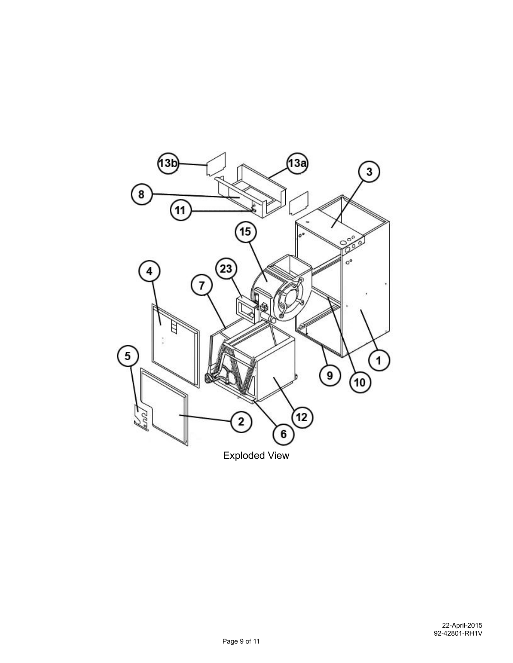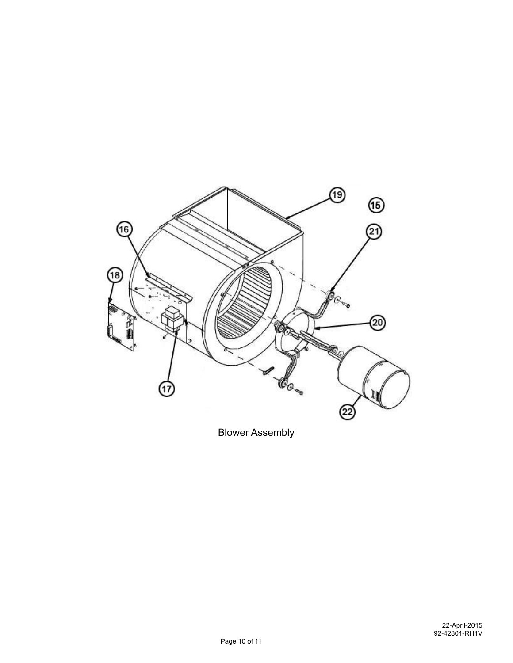

Blower Assembly